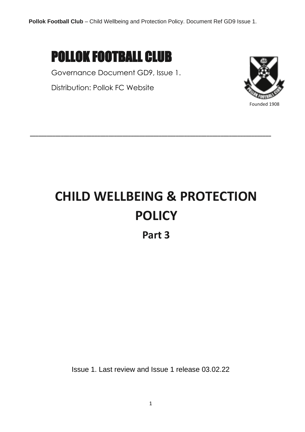

Governance Document GD9, Issue 1.

Distribution: Pollok FC Website



## **CHILD WELLBEING & PROTECTION POLICY**

**\_\_\_\_\_\_\_\_\_\_\_\_\_\_\_\_\_\_\_\_\_\_\_\_\_\_\_\_\_\_\_\_\_\_\_\_\_\_\_\_\_\_\_\_\_\_\_\_\_\_\_\_\_\_\_\_\_\_\_\_\_\_\_\_\_\_\_\_\_\_\_\_\_\_\_\_\_\_\_\_\_\_\_\_\_\_**

**Part 3**

Issue 1. Last review and Issue 1 release 03.02.22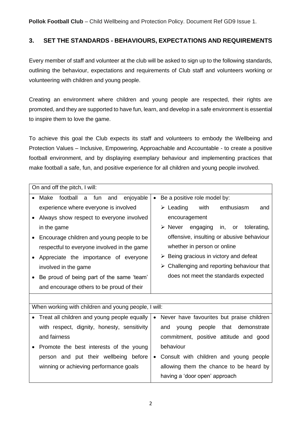## **3. SET THE STANDARDS - BEHAVIOURS, EXPECTATIONS AND REQUIREMENTS**

Every member of staff and volunteer at the club will be asked to sign up to the following standards, outlining the behaviour, expectations and requirements of Club staff and volunteers working or volunteering with children and young people.

Creating an environment where children and young people are respected, their rights are promoted, and they are supported to have fun, learn, and develop in a safe environment is essential to inspire them to love the game.

To achieve this goal the Club expects its staff and volunteers to embody the Wellbeing and Protection Values – Inclusive, Empowering, Approachable and Accountable - to create a positive football environment, and by displaying exemplary behaviour and implementing practices that make football a safe, fun, and positive experience for all children and young people involved.

| On and off the pitch, I will:                            |                                                           |  |  |  |  |
|----------------------------------------------------------|-----------------------------------------------------------|--|--|--|--|
| Make<br>football<br>fun<br>and<br>enjoyable<br>a         | Be a positive role model by:<br>$\bullet$                 |  |  |  |  |
| experience where everyone is involved                    | $\triangleright$ Leading<br>with<br>enthusiasm<br>and     |  |  |  |  |
| Always show respect to everyone involved                 | encouragement                                             |  |  |  |  |
| in the game                                              | $\triangleright$ Never engaging<br>or tolerating,<br>in,  |  |  |  |  |
| Encourage children and young people to be                | offensive, insulting or abusive behaviour                 |  |  |  |  |
| respectful to everyone involved in the game              | whether in person or online                               |  |  |  |  |
| Appreciate the importance of everyone                    | $\triangleright$ Being gracious in victory and defeat     |  |  |  |  |
| involved in the game                                     | $\triangleright$ Challenging and reporting behaviour that |  |  |  |  |
| Be proud of being part of the same 'team'                | does not meet the standards expected                      |  |  |  |  |
| and encourage others to be proud of their                |                                                           |  |  |  |  |
|                                                          |                                                           |  |  |  |  |
| When working with children and young people, I will:     |                                                           |  |  |  |  |
| Treat all children and young people equally<br>$\bullet$ | Never have favourites but praise children<br>$\bullet$    |  |  |  |  |
| with respect, dignity, honesty, sensitivity              | people that<br>and<br>young<br>demonstrate                |  |  |  |  |
| and fairness                                             | commitment, positive attitude and good                    |  |  |  |  |
| Promote the best interests of the young                  | behaviour                                                 |  |  |  |  |
| person and put their wellbeing before                    | Consult with children and young people<br>$\bullet$       |  |  |  |  |
| winning or achieving performance goals                   | allowing them the chance to be heard by                   |  |  |  |  |
|                                                          | having a 'door open' approach                             |  |  |  |  |